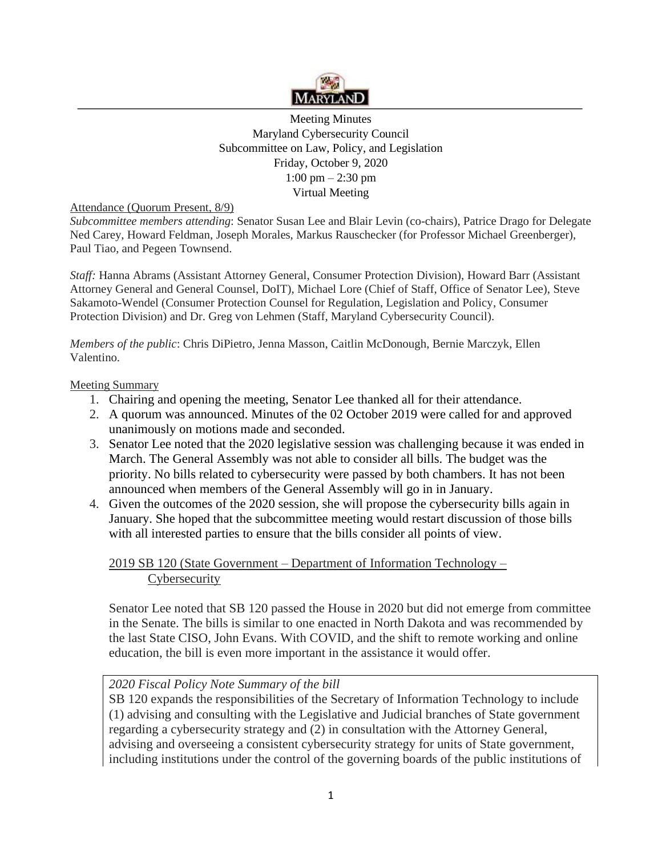

Meeting Minutes Maryland Cybersecurity Council Subcommittee on Law, Policy, and Legislation Friday, October 9, 2020 1:00 pm – 2:30 pm Virtual Meeting

Attendance (Quorum Present, 8/9)

*Subcommittee members attending*: Senator Susan Lee and Blair Levin (co-chairs), Patrice Drago for Delegate Ned Carey, Howard Feldman, Joseph Morales, Markus Rauschecker (for Professor Michael Greenberger), Paul Tiao, and Pegeen Townsend.

*Staff:* Hanna Abrams (Assistant Attorney General, Consumer Protection Division), Howard Barr (Assistant Attorney General and General Counsel, DoIT), Michael Lore (Chief of Staff, Office of Senator Lee), Steve Sakamoto-Wendel (Consumer Protection Counsel for Regulation, Legislation and Policy, Consumer Protection Division) and Dr. Greg von Lehmen (Staff, Maryland Cybersecurity Council).

*Members of the public*: Chris DiPietro, Jenna Masson, Caitlin McDonough, Bernie Marczyk, Ellen Valentino.

#### Meeting Summary

- 1. Chairing and opening the meeting, Senator Lee thanked all for their attendance.
- 2. A quorum was announced. Minutes of the 02 October 2019 were called for and approved unanimously on motions made and seconded.
- 3. Senator Lee noted that the 2020 legislative session was challenging because it was ended in March. The General Assembly was not able to consider all bills. The budget was the priority. No bills related to cybersecurity were passed by both chambers. It has not been announced when members of the General Assembly will go in in January.
- 4. Given the outcomes of the 2020 session, she will propose the cybersecurity bills again in January. She hoped that the subcommittee meeting would restart discussion of those bills with all interested parties to ensure that the bills consider all points of view.

## 2019 SB 120 (State Government – Department of Information Technology – **Cybersecurity**

Senator Lee noted that SB 120 passed the House in 2020 but did not emerge from committee in the Senate. The bills is similar to one enacted in North Dakota and was recommended by the last State CISO, John Evans. With COVID, and the shift to remote working and online education, the bill is even more important in the assistance it would offer.

## *2020 Fiscal Policy Note Summary of the bill*

SB 120 expands the responsibilities of the Secretary of Information Technology to include (1) advising and consulting with the Legislative and Judicial branches of State government regarding a cybersecurity strategy and (2) in consultation with the Attorney General, advising and overseeing a consistent cybersecurity strategy for units of State government, including institutions under the control of the governing boards of the public institutions of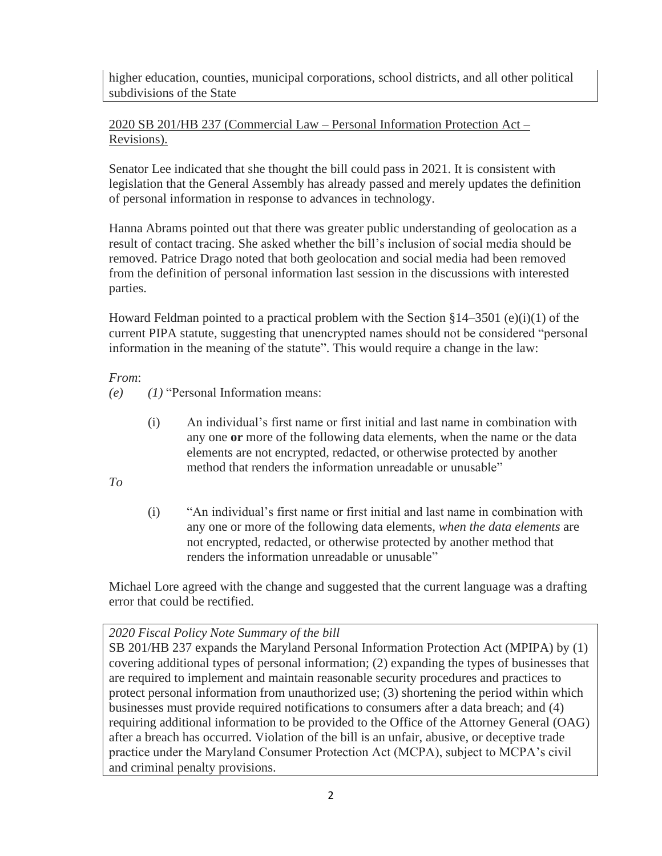higher education, counties, municipal corporations, school districts, and all other political subdivisions of the State

## 2020 SB 201/HB 237 (Commercial Law – Personal Information Protection Act – Revisions).

Senator Lee indicated that she thought the bill could pass in 2021. It is consistent with legislation that the General Assembly has already passed and merely updates the definition of personal information in response to advances in technology.

Hanna Abrams pointed out that there was greater public understanding of geolocation as a result of contact tracing. She asked whether the bill's inclusion of social media should be removed. Patrice Drago noted that both geolocation and social media had been removed from the definition of personal information last session in the discussions with interested parties.

Howard Feldman pointed to a practical problem with the Section  $\S 14-3501$  (e)(i)(1) of the current PIPA statute, suggesting that unencrypted names should not be considered "personal information in the meaning of the statute". This would require a change in the law:

*From*:

- *(e) (1)* "Personal Information means:
	- (i) An individual's first name or first initial and last name in combination with any one **or** more of the following data elements, when the name or the data elements are not encrypted, redacted, or otherwise protected by another method that renders the information unreadable or unusable"

*To* 

(i) "An individual's first name or first initial and last name in combination with any one or more of the following data elements, *when the data elements* are not encrypted, redacted, or otherwise protected by another method that renders the information unreadable or unusable"

Michael Lore agreed with the change and suggested that the current language was a drafting error that could be rectified.

## *2020 Fiscal Policy Note Summary of the bill*

SB 201/HB 237 expands the Maryland Personal Information Protection Act (MPIPA) by (1) covering additional types of personal information; (2) expanding the types of businesses that are required to implement and maintain reasonable security procedures and practices to protect personal information from unauthorized use; (3) shortening the period within which businesses must provide required notifications to consumers after a data breach; and (4) requiring additional information to be provided to the Office of the Attorney General (OAG) after a breach has occurred. Violation of the bill is an unfair, abusive, or deceptive trade practice under the Maryland Consumer Protection Act (MCPA), subject to MCPA's civil and criminal penalty provisions.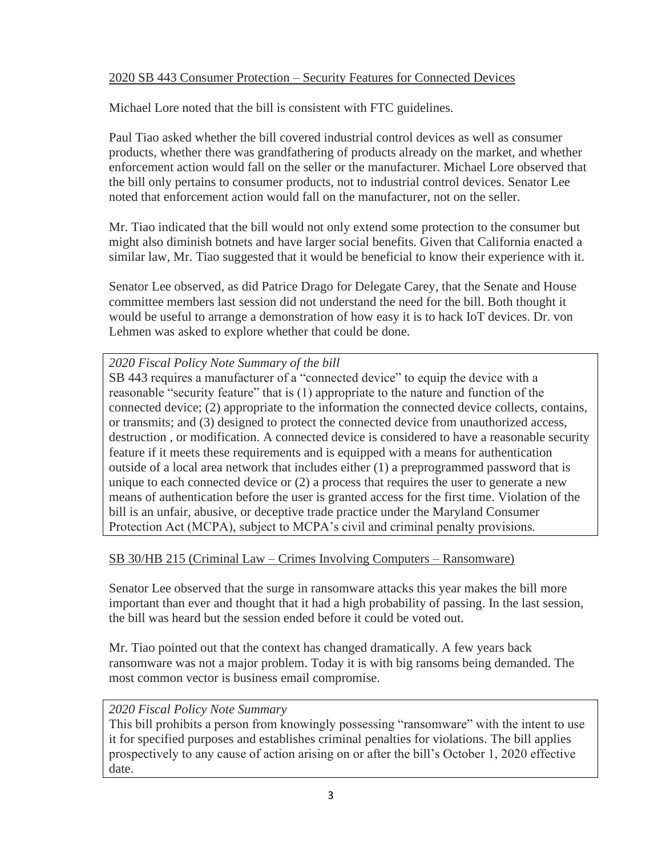# 2020 SB 443 Consumer Protection – Security Features for Connected Devices

Michael Lore noted that the bill is consistent with FTC guidelines.

Paul Tiao asked whether the bill covered industrial control devices as well as consumer products, whether there was grandfathering of products already on the market, and whether enforcement action would fall on the seller or the manufacturer. Michael Lore observed that the bill only pertains to consumer products, not to industrial control devices. Senator Lee noted that enforcement action would fall on the manufacturer, not on the seller.

Mr. Tiao indicated that the bill would not only extend some protection to the consumer but might also diminish botnets and have larger social benefits. Given that California enacted a similar law, Mr. Tiao suggested that it would be beneficial to know their experience with it.

Senator Lee observed, as did Patrice Drago for Delegate Carey, that the Senate and House committee members last session did not understand the need for the bill. Both thought it would be useful to arrange a demonstration of how easy it is to hack IoT devices. Dr. von Lehmen was asked to explore whether that could be done.

## *2020 Fiscal Policy Note Summary of the bill*

SB 443 requires a manufacturer of a "connected device" to equip the device with a reasonable "security feature" that is (1) appropriate to the nature and function of the connected device; (2) appropriate to the information the connected device collects, contains, or transmits; and (3) designed to protect the connected device from unauthorized access, destruction , or modification. A connected device is considered to have a reasonable security feature if it meets these requirements and is equipped with a means for authentication outside of a local area network that includes either (1) a preprogrammed password that is unique to each connected device or (2) a process that requires the user to generate a new means of authentication before the user is granted access for the first time. Violation of the bill is an unfair, abusive, or deceptive trade practice under the Maryland Consumer Protection Act (MCPA), subject to MCPA's civil and criminal penalty provisions.

## SB 30/HB 215 (Criminal Law – Crimes Involving Computers – Ransomware)

Senator Lee observed that the surge in ransomware attacks this year makes the bill more important than ever and thought that it had a high probability of passing. In the last session, the bill was heard but the session ended before it could be voted out.

Mr. Tiao pointed out that the context has changed dramatically. A few years back ransomware was not a major problem. Today it is with big ransoms being demanded. The most common vector is business email compromise.

## *2020 Fiscal Policy Note Summary*

This bill prohibits a person from knowingly possessing "ransomware" with the intent to use it for specified purposes and establishes criminal penalties for violations. The bill applies prospectively to any cause of action arising on or after the bill's October 1, 2020 effective date.